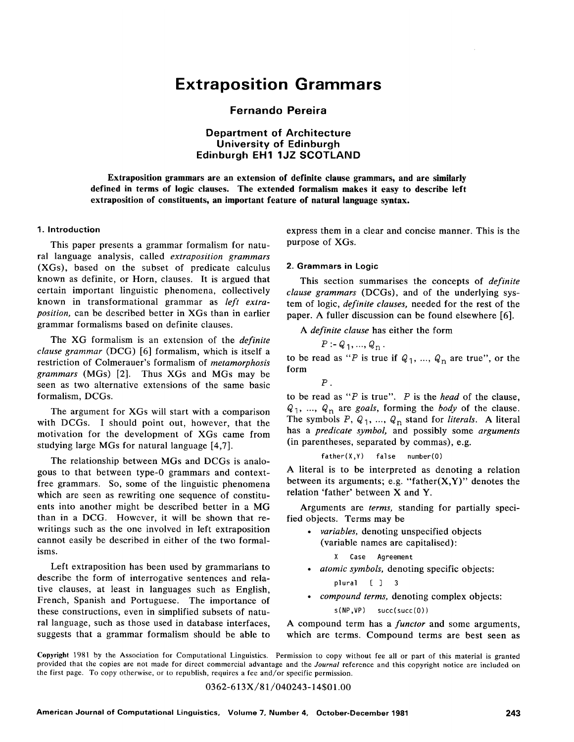# **Extraposition Grammars**

## **Fernando Pereira**

**Department of Architecture University of Edinburgh Edinburgh EH1 1JZ SCOTLAND** 

**Extraposition grammars are an extension of definite clause grammars, and are similarly defined in terms of logic clauses. The extended formalism makes it easy to describe left extraposition of constituents, an important feature of natural language syntax.** 

#### **1. Introduction**

This paper presents a grammar formalism for natural language analysis, called *extraposition grammars*  (XGs), based on the subset of predicate calculus known as definite, or Horn, clauses. It is argued that certain important linguistic phenomena, collectively known in transformational grammar as *left extraposition,* can be described better in XGs than in earlier grammar formalisms based on definite clauses.

The XG formalism is an extension of the *definite clause grammar* (DCG) [6] formalism, which is itself a restriction of Colmerauer's formalism of *metamorphosis grammars* (MGs) [2]. Thus XGs and MGs may be seen as two alternative extensions of the same basic formalism, DCGs.

The argument for XGs will start with a comparison with DCGs. I should point out, however, that the motivation for the development of XGs came from studying large MGs for natural language [4,7].

The relationship between MGs and DCGs is analogous to that between type-0 grammars and contextfree grammars. So, some of the linguistic phenomena which are seen as rewriting one sequence of constituents into another might be described better in a MG than in a DCG. However, it will be shown that rewritings such as the one involved in left extraposition cannot easily be described in either of the two formalisms.

Left extraposition has been used by grammarians to describe the form of interrogative sentences and relative clauses, at least in languages such as English, French, Spanish and Portuguese. The importance of these constructions, even in simplified subsets of natural language, such as those used in database interfaces, suggests that a grammar formalism should be able to express them in a clear and concise manner. This is the purpose of XGs.

#### **2. Grammars in Logic**

This section summarises the concepts of *definite clause grammars* (DCGs), and of the underlying system of logic, *definite clauses,* needed for the rest of the paper. A fuller discussion can be found elsewhere [6].

*A definite clause* has either the form

$$
P: = Q_1, ..., Q_n
$$
.

to be read as "P is true if  $Q_1, ..., Q_n$  are true", or the form

 $P$ .

to be read as "P is true". P is the *head* of the clause,  $Q_1$ , ...,  $Q_n$  are *goals*, forming the *body* of the clause. The symbols  $P$ ,  $Q_1$ , ...,  $Q_n$  stand for *literals*. A literal has a *predicate symbol,* and possibly some *arguments*  (in parentheses, separated by commas), e.g.

father(X,Y) false number(O)

A literal is to be interpreted as denoting a relation between its arguments; e.g. "father $(X, Y)$ " denotes the relation 'father' between X and Y.

Arguments are *terms,* standing for partially specified objects. Terms may be

- *variables,* denoting unspecified objects (variable names are capitalised):
	- X Case **Agreement**
- *atomic symbols,* denoting specific objects:

plural [ ] 3

*• compound terms,* denoting complex objects:

s(NP,VP) succ(succ(O))

A compound term has a *functor* and some arguments, which are terms. Compound terms are best seen as

#### 0362-613X/81/040243-14501.00

**Copyright** 1981 by the Association for Computational Linguistics. Permission to copy without fee all or part of this material is granted provided that the copies are not made for direct commercial advantage and the *Journal* reference and this copyright notice are included on the first page. To copy otherwise, or to republish, requires a fee and/or specific permission.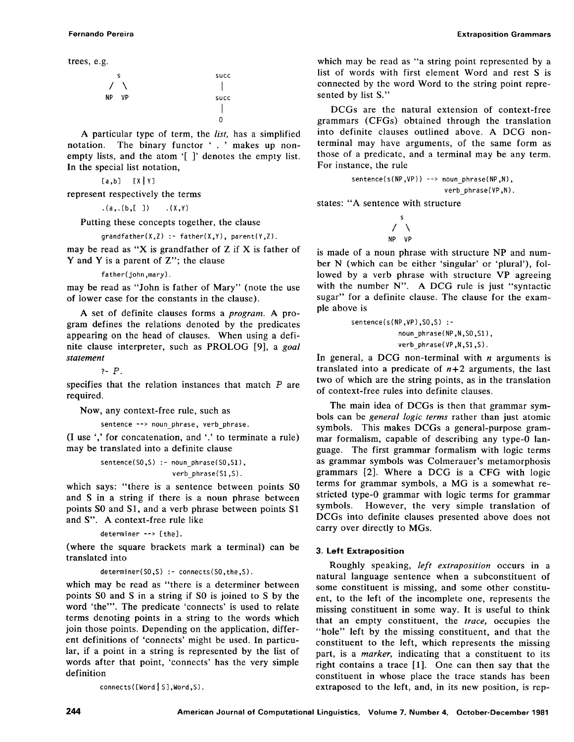trees, e.g.

/ NP S SUCC \ I VP succ **I**  0

A particular type of term, the *list,* has a simplified notation. The binary functor ' . ' makes up nonempty lists, and the atom '[ ]' denotes the empty list. In the special list notation,

 $[a,b]$   $[X|Y]$ 

represent respectively the terms

 $(a, (b, [ ) )$  .  $(X,Y)$ 

Putting these concepts together, the clause

 $gradient(x, Z)$  :- father( $X, Y$ ), parent( $Y, Z$ ).

may be read as "X is grandfather of  $Z$  if  $X$  is father of Y and Y is a parent of Z"; the clause

father(john ,mary).

may be read as "John is father of Mary" (note the use of lower case for the constants in the clause).

A set of definite clauses forms a *program.* A program defines the relations denoted by the predicates appearing on the head of clauses. When using a definite clause interpreter, such as PROLOG [9], a *goal statement* 

*?-19 .* 

specifies that the relation instances that match P are required.

Now, any context-free rule, such as

sentence --> noun phrase, verb phrase.

(I use ',' for concatenation, and '.' to terminate a rule) may be translated into a definite clause

sentence(50,S) :- n0un\_phrase(S0,S1), verb\_phrase ( S1 ,S ).

which says: "there is a sentence between points SO and S in a string if there is a noun phrase between points SO and S1, and a verb phrase between points S1 and S". A context-free rule like

```
determiner--> [the].
```
(where the square brackets mark a terminal) can be translated into

```
determiner(SO,S) :- connects(SO,the,S).
```
which may be read as "there is a determiner between points SO and S in a string if SO is joined to S by the word 'the'". The predicate 'connects' is used to relate terms denoting points in a string to the words which join those points. Depending on the application, different definitions of 'connects' might be used. In particular, if a point in a string is represented by the list of words after that point, 'connects' has the very simple definition

 $connect([Word | S], Word, S)$ .

Fernando Pereira Extraposition Grammars

which may be read as "a string point represented by a list of words with first element Word and rest S is connected by the word Word to the string point represented by list S."

DCGs are the natural extension of context-free grammars (CFGs) obtained through the translation into definite clauses outlined above. A DCG nonterminal may have arguments, of the same form as those of a predicate, and a terminal may be any term. For instance, the rule

sentence(s(NP,VP)) --> noun\_phrase(NP,N), verb\_phrase(VP,N).

states: "A sentence with structure

$$
\begin{array}{c}\nS \\
\nearrow \\
\searrow \\
\text{NP} \quad \text{VP}\n\end{array}
$$

is made of a noun phrase with structure NP and number N (which can be either 'singular' or 'plural'), followed by a verb phrase with structure VP agreeing with the number N". A DCG rule is just "syntactic sugar" for a definite clause. The clause for the example above is

sentence(s(NP,VP),SO,S) : noun phrase(NP,N,SO,S1), verb\_phrase(VP,N,Sl ,S).

In general, a DCG non-terminal with  $n$  arguments is translated into a predicate of  $n+2$  arguments, the last two of which are the string points, as in the translation of context-free rules into definite clauses.

The main idea of DCGs is then that grammar symbols can be *general logic terms* rather than just atomic symbols. This makes DCGs a general-purpose grammar formalism, capable of describing any type-0 language. The first grammar formalism with logic terms as grammar symbols was Colmerauer's metamorphosis grammars [2]. Where a DCG is a CFG with logic terms for grammar symbols, a MG is a somewhat restricted type-0 grammar with logic terms for grammar symbols. However, the very simple translation of DCGs into definite clauses presented above does not carry over directly to MGs.

## **3. Left Extraposition**

Roughly speaking, *left extraposition* occurs in a natural language sentence when a subconstituent of some constituent is missing, and some other constituent, to the left of the incomplete one, represents the missing constituent in some way. It is useful to think that an empty constituent, the *trace,* occupies the "hole" left by the missing constituent, and that the constituent to the left, which represents the missing part, is a *marker,* indicating that a constituent to its right contains a trace [1]. One can then say that the constituent in whose place the trace stands has been extraposed to the left, and, in its new position, is rep-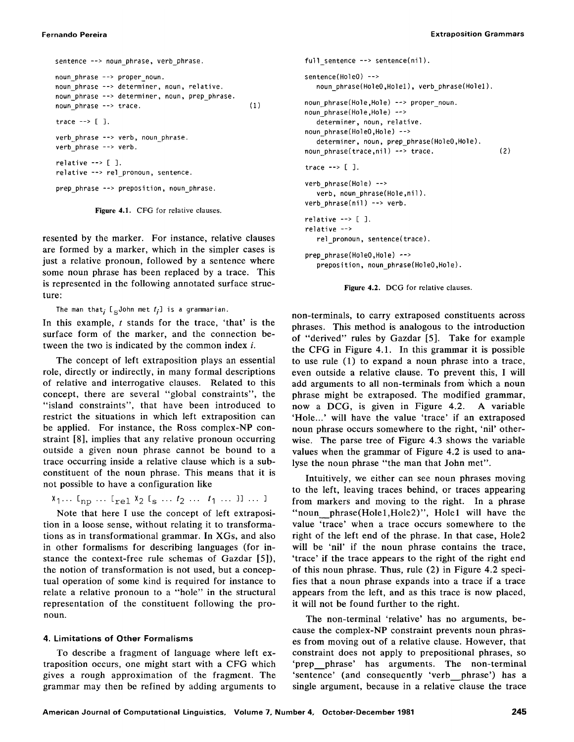```
sentence --> noun phrase, verb phrase.
noun phrase --> proper noun.
noun phrase --> determiner, noun, relative.
noun phrase --> determiner, noun, prep phrase.
noun phrase --> trace.
trace \rightarrow [ ].
verb_phrase --> verb, noun_phrase.
verb_phrase --> verb. 
relative \leftarrow [ ].
relative --> rel_pronoun, sentence. 
prep_phrase --> preposition, noun phrase.
                                                     (1)
```
**Figure** 4.1. CFG for relative clauses.

resented by the marker. For instance, relative clauses are formed by a marker, which in the simpler cases is just a relative pronoun, followed by a sentence where some noun phrase has been replaced by a trace. This is represented in the following annotated surface structure:

The man that<sub>i</sub> [  $_{\leq}$  John met  $t_i$ ] is a grammarian.

In this example,  $t$  stands for the trace, 'that' is the surface form of the marker, and the connection between the two is indicated by the common index  $i$ .

The concept of left extraposition plays an essential role, directly or indirectly, in many formal descriptions of relative and interrogative clauses. Related to this concept, there are several "global constraints", the "island constraints", that have been introduced to restrict the situations in which left extraposition can be applied. For instance, the Ross complex-NP constraint [8], implies that any relative pronoun occurring outside a given noun phrase cannot be bound to a trace occurring inside a relative clause which is a subconstituent of the noun phrase. This means that it is not possible to have a configuration like

$$
x_1 \ldots l_{\text{np}} \ldots l_{\text{rel}} x_2 l_{\text{s}} \ldots t_2 \ldots t_1 \ldots l_{\text{l}} \ldots l_{\text{l}}
$$

Note that here I use the concept of left extraposition in a loose sense, without relating it to transformations as in transformational grammar. In XGs, and also in other formalisms for describing languages (for instance the context-free rule schemas of Gazdar [5]), the notion of transformation is not used, but a conceptual operation of some kind is required for instance to relate a relative pronoun to a "hole" in the structural representation of the constituent following the pronoun.

## **4. Limitations of Other Formalisms**

To describe a fragment of language where left extraposition occurs, one might start with a CFG which gives a rough approximation of the fragment. The grammar may then be refined by adding arguments to

```
full sentence --> sentence(nil). 
sentence(HoleO) --> 
   noun phrase(HoleO,Holel), verb phrase(Hole1).
noun_phrase(Hole,Hole) --> proper_noun.
noun_phrase(Hole,Hole) --> 
   determiner, noun, relative. 
noun_phrase(HoleO,Hole) --> 
   determiner, noun, prep_phrase(HoleO,Hole).
noun phrase(trace,nil) --> trace.
trace --> [ ]. 
verb_phrase(Hole) -->
   verb, noun phrase(Hole,nil).
verb phrase(nil) --> verb.
relative \leftarrow [ ].
relative --> 
   rel pronoun, sentence(trace).
prep_phrase(HoleO,Hole) -->
   preposition, noun phrase(HoleO,Hole).
                                                    (2)
```


non-terminals, to carry extraposed constituents across phrases. This method is analogous to the introduction of "derived" rules by Gazdar [5]. Take for example the CFG in Figure 4.1. In this grammar it is possible to use rule (1) to expand a noun phrase into a trace, even outside a relative clause. To prevent this, I will add arguments to all non-terminals from which a noun phrase might be extraposed. The modified grammar, now a DCG, is given in Figure 4.2. A variable 'Hole...' will have the value 'trace' if an extraposed noun phrase occurs somewhere to the right, 'nil' otherwise. The parse tree of Figure 4.3 shows the variable values when the grammar of Figure 4.2 is used to analyse the noun phrase "the man that John met".

Intuitively, we either can see noun phrases moving to the left, leaving traces behind, or traces appearing from markers and moving to the right. In a phrase "noun phrase(Hole1,Hole2)", Hole1 will have the value 'trace' when a trace occurs somewhere to the right of the left end of the phrase. In that case, Hole2 will be 'nil' if the noun phrase contains the trace, 'trace' if the trace appears to the right of the right end of this noun phrase. Thus, rule (2) in Figure 4.2 specifies that a noun phrase expands into a trace if a trace appears from the left, and as this trace is now placed, it will not be found further to the right.

The non-terminal 'relative' has no arguments, because the complex-NP constraint prevents noun phrases from moving out of a relative clause. However, that constraint does not apply to prepositional phrases, so 'prep phrase' has arguments. The non-terminal 'sentence' (and consequently 'verb phrase') has a single argument, because in a relative clause the trace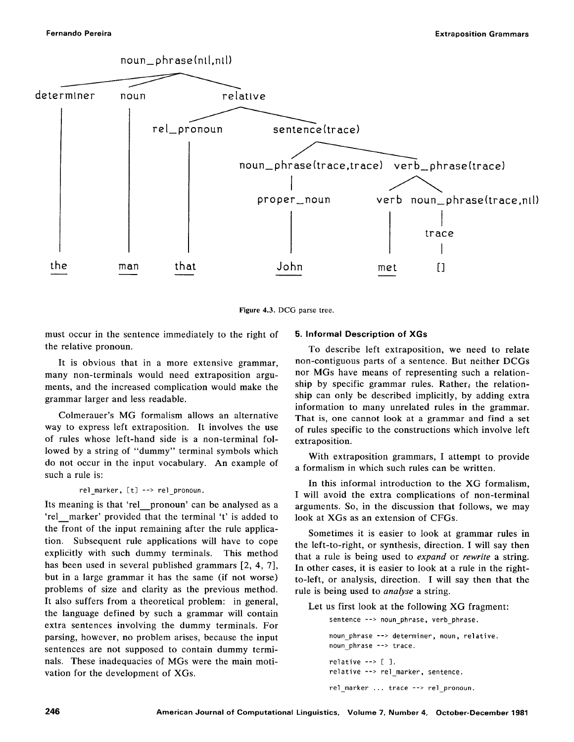

**Figure** 4.3. DCG parse tree.

must occur in the sentence immediately to the right of the relative pronoun.

It is obvious that in a more extensive grammar, many non-terminals would need extraposition arguments, and the increased complication would make the grammar larger and less readable.

Colmerauer's MG formalism allows an alternative way to express left extraposition. It involves the use of rules whose left-hand side is a non-terminal followed by a string of "dummy" terminal symbols which do not occur in the input vocabulary. An example of such a rule is:

## rel\_marker, [t] --> rel\_pronoun.

Its meaning is that 'rel pronoun' can be analysed as a 'rel marker' provided that the terminal 't' is added to the front of the input remaining after the rule application. Subsequent rule applications will have to cope explicitly with such dummy terminals. This method has been used in several published grammars [2, 4, 7], but in a large grammar it has the same (if not worse) problems of size and clarity as the previous method. It also suffers from a theoretical problem: in general, the language defined by such a grammar will contain extra sentences involving the dummy terminals. For parsing, however, no problem arises, because the input sentences are not supposed to contain dummy terminals. These inadequacies of MGs were the main motivation for the development of XGs.

## **5. Informal Description of XGs**

To describe left extraposition, we need to relate non-contiguous parts of a sentence. But neither DCGs nor MGs have means of representing such a relationship by specific grammar rules. Rather; the relationship can only be described implicitly, by adding extra information to many unrelated rules in the grammar. That is, one cannot look at a grammar and find a set of rules specific to the constructions which involve left extraposition.

With extraposition grammars, I attempt to provide a formalism in which such rules can be written.

In this informal introduction to the XG formalism, I will avoid the extra complications of non-terminal arguments. So, in the discussion that follows, we may look at XGs as an extension of CFGs.

Sometimes it is easier to look at grammar rules in the left-to-right, or synthesis, direction. I will say then that a rule is being used to *expand* or *rewrite* a string. In other cases, it is easier to look at a rule in the rightto-left, or analysis, direction. I will say then that the rule is being used to *analyse* a string.

Let us first look at the following XG fragment:

sentence --> noun\_phrase, verb\_phrase.

```
noun phrase --> determiner, noun, relative. 
noun phrase --> trace.
relative \leftarrow [ ].
relative --> rel marker, sentence. 
rel_marker ... trace --> rel pronoun.
```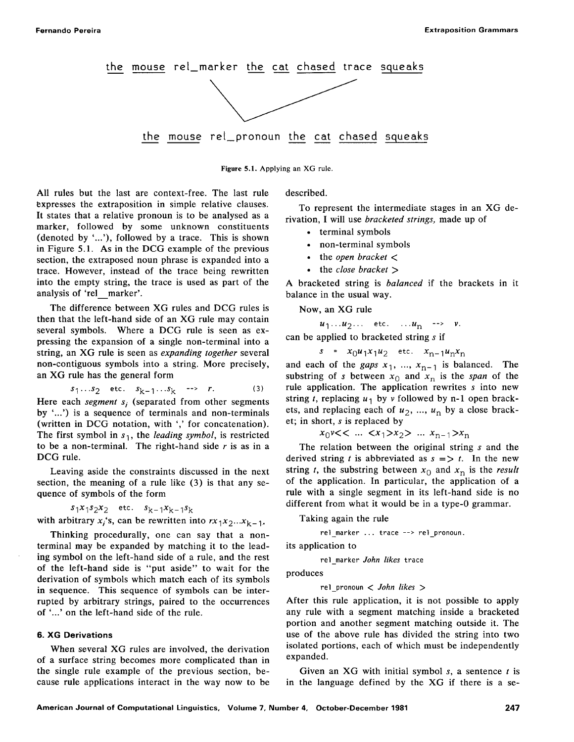

**Figure** 5.1. Applying an XG rule.

All rules but the last are context-free. The last rule expresses the extraposition in simple relative clauses. It states that a relative pronoun is to be analysed as a marker, followed by some unknown constituents (denoted by '...'), followed by a trace. This is shown in Figure 5.1. As in the DCG example of the previous section, the extraposed noun phrase is expanded into a trace. However, instead of the trace being rewritten into the empty string, the trace is used as part of the analysis of 'rel marker'.

The difference between XG rules and DCG rules is then that the left-hand side of an XG rule may contain several symbols. Where a DCG rule is seen as expressing the expansion of a single non-terminal into a string, an XG rule is seen as *expanding together* several non-contiguous symbols into a string. More precisely, an XG rule has the general form

$$
s_1...s_2
$$
 etc.  $s_{k-1}...s_k$  -- > r. (3)

Here each *segment*  $s_i$  (separated from other segments by '...') is a sequence of terminals and non-terminals (written in DCG notation, with ',' for concatenation). The first symbol in  $s_1$ , the *leading symbol*, is restricted to be a non-terminal. The right-hand side  $r$  is as in a DCG rule.

Leaving aside the constraints discussed in the next section, the meaning of a rule like (3) is that any sequence of symbols of the form

 $s_1x_1s_2x_2$  etc.  $s_{k-1}x_{k-1}s_k$ with arbitrary  $x_i$ 's, can be rewritten into  $rx_1x_2...x_{k-1}$ .

Thinking procedurally, one can say that a nonterminal may be expanded by matching it to the leading symbol on the left-hand side of a rule, and the rest of the left-hand side is "put aside" to wait for the derivation of symbols which match each of its symbols **in** sequence. This sequence of symbols can be interrupted by arbitrary strings, paired to the occurrences of '...' on the left-hand side of the rule.

#### **6. XG Derivations**

When several XG rules are involved, the derivation of a surface string becomes more complicated than in the single rule example of the previous section, because rule applications interact in the way now to be described.

To represent the intermediate stages in an XG derivation, I will use *bracketed strings,* made up of

- terminal symbols
- non-terminal symbols
- the *open bracket <*
- the *close bracket >*

A bracketed string is *balanced* if the brackets in it balance in the usual way.

Now, an XG rule

 $u_1...u_2...$  etc.  $...u_n$  -->  $v$ .

can be applied to bracketed string s if

 $s = x_0 u_1 x_1 u_2$  etc.  $x_{n-1} u_n x_n$ 

and each of the *gaps*  $x_1$ , ...,  $x_{n-1}$  is balanced. The substring of s between  $x_0$  and  $x_n$  is the *span* of the rule application. The application rewrites s into new string t, replacing  $u_1$  by v followed by n-1 open brackets, and replacing each of  $u_2$ , ...,  $u_n$  by a close bracket; in short, s is replaced by

 $x_0$ v<< ...  $\langle x_1 \rangle x_2$  ...  $x_{n-1} \rangle x_n$ 

The relation between the original string s and the derived string t is abbreviated as  $s \implies t$ . In the new string t, the substring between  $x_0$  and  $x_n$  is the *result* of the application. In particular, the application of a rule with a single segment in its left-hand side is no different from what it would be in a type-0 grammar.

Taking again the rule

rel marker ... trace --> rel pronoun.

its application to

rel marker *John likes* trace

produces

rel\_pronoun < *John likes >* 

After this rule application, it is not possible to apply any rule with a segment matching inside a bracketed portion and another segment matching outside it. The use of the above rule has divided the string into two isolated portions, each of which must be independently expanded.

Given an XG with initial symbol  $s$ , a sentence  $t$  is in the language defined by the XG if there is a se-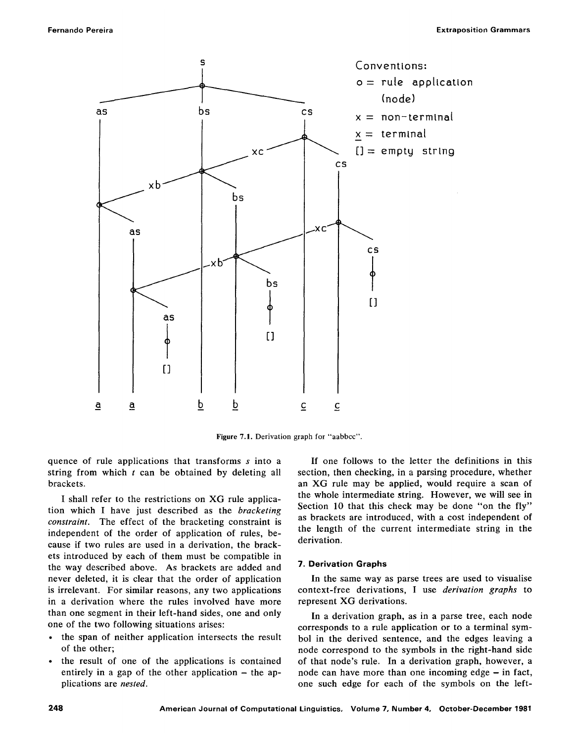

Figure 7.1. Derivation graph for "aabbcc".

quence of rule applications that transforms s into a string from which  $t$  can be obtained by deleting all brackets.

I shall refer to the restrictions on XG rule application which I have just described as the *bracketing constraint.* The effect of the bracketing constraint is independent of the order of application of rules, because if two rules are used in a derivation, the brackets introduced by each of them must be compatible in the way described above. As brackets are added and never deleted, it is clear that the order of application is irrelevant. For similar reasons, any two applications in a derivation where the rules involved have more than one segment in their left-hand sides, one and only one of the two following situations arises:

- the span of neither application intersects the result of the other;
- the result of one of the applications is contained entirely in a gap of the other application  $-$  the applications are *nested.*

If one follows to the letter the definitions in this section, then checking, in a parsing procedure, whether an XG rule may be applied, would require a scan of the whole intermediate string. However, we will see in Section 10 that this check may be done "on the fly" as brackets are introduced, with a cost independent of the length of the current intermediate string in the derivation.

## **7. Derivation Graphs**

In the same way as parse trees are used to visualise context-free derivations, I use *derivation graphs* to represent XG derivations.

In a derivation graph, as in a parse tree, each node corresponds to a rule application or to a terminal symbol in the derived sentence, and the edges leaving a node correspond to the symbols in the right-hand side of that node's rule. In a derivation graph, however, a node can have more than one incoming edge  $-$  in fact, one such edge for each of the symbols on the left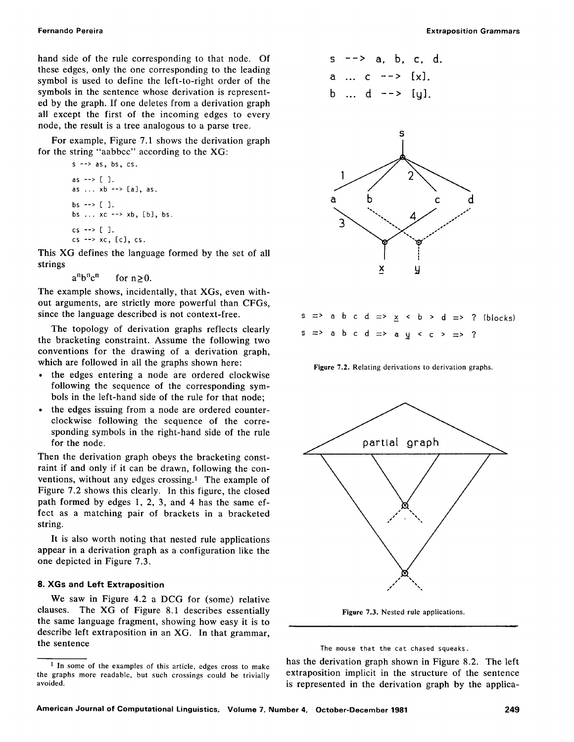hand side of the rule corresponding to that node. Of these edges, only the one corresponding to the leading symbol is used to define the left-to-right order of the symbols in the sentence whose derivation is represented by the graph. If one deletes from a derivation graph all except the first of the incoming edges to every node, the result is a tree analogous to a parse tree.

For example, Figure 7.1 shows the derivation graph for the string "aabbcc" according to the XG:

```
s \rightarrow as, bs, cs.as --> [ ]. 
as ... xb --> [a], as. 
bs --> [ ]. 
bs ... xc --> xb, [b], bs. 
cs \rightarrow [ ].
cs \rightarrow xc, [c], cs.
```
This XG defines the language formed by the set of all strings

 $a^nb^nc^n$  for  $n\geq 0$ .

The example shows, incidentally, that XGs, even without arguments, are strictly more powerful than CFGs, since the language described is not context-free.

The topology of derivation graphs reflects clearly the bracketing constraint. Assume the following two conventions for the drawing of a derivation graph, which are followed in all the graphs shown here:

- the edges entering a node are ordered clockwise following the sequence of the corresponding symbols in the left-hand side of the rule for that node;
- the edges issuing from a node are ordered counterclockwise following the sequence of the corresponding symbols in the right-hand side of the rule for the node.

Then the derivation graph obeys the bracketing constraint if and only if it can be drawn, following the conventions, without any edges crossing. $<sup>1</sup>$  The example of</sup> Figure 7.2 shows this clearly. In this figure, the closed path formed by edges 1, 2, 3, and 4 has the same effect as a matching pair of brackets in a bracketed string.

It is also worth noting that nested rule applications appear in a derivation graph as a configuration like the one depicted in Figure 7.3.

## **8. XGs and Left Extraposition**

We saw in Figure 4.2 a DCG for (some) relative clauses. The XG of Figure 8.1 describes essentially the same language fragment, showing how easy it is to describe left extraposition in an XG. In that grammar, the sentence

$$
s \rightarrow a, b, c, d.
$$
  
a ... c  $\rightarrow [x].$   
b ... d  $\rightarrow [y].$ 



|  |  |  |  |  |  |                                                             | s => a b c d => $\frac{x}{x}$ < b > d => ? (blocks) |
|--|--|--|--|--|--|-------------------------------------------------------------|-----------------------------------------------------|
|  |  |  |  |  |  | $s \Rightarrow a b c d \Rightarrow a y < c > \Rightarrow ?$ |                                                     |

**Figure** 7.2. Relating derivations to derivation graphs.



**Figure** 7.3. Nested rule applications.

The mouse that the cat chased squeaks.

has the derivation graph shown in Figure 8.2. The left extraposition implicit in the structure of the sentence is represented in the derivation graph by the applica-

<sup>1</sup> In some of the examples of this article, edges cross to make the graphs more readable, but such crossings could be trivially avoided.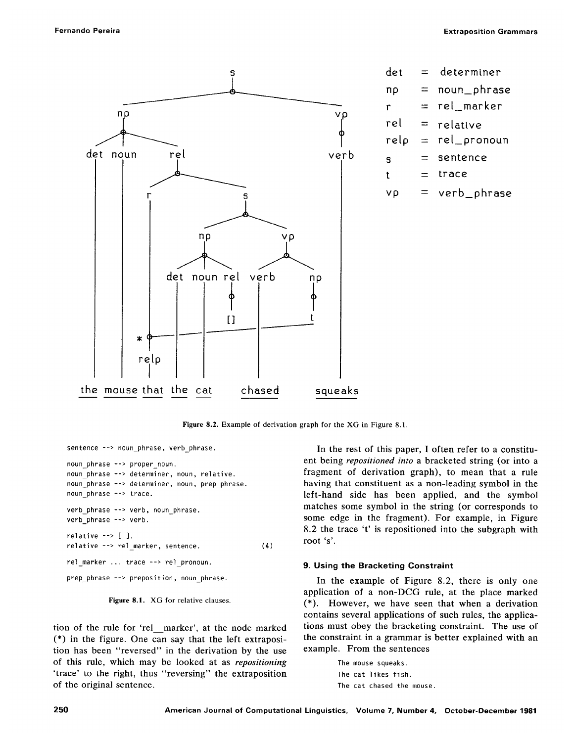

Figure 8.2. Example of derivation graph for the XG in Figure 8.1.

```
sentence --> noun phrase, verb phrase.
noun_phrase --> proper_noun. 
noun phrase --> determiner, noun, relative.
noun phrase --> determiner, noun, prep_phrase.
noun_phrase --> trace. 
verb phrase --> verb, noun phrase.
verb phrase --> verb.
relative --> [ ]. 
relative --> re] marker, sentence. 
rel_marker ... trace --> rel_pronoun. 
prep_phrase --> preposition, noun_phrase. 
                                                   (4)
```


tion of the rule for 'rel\_\_marker', at the node marked (\*) in the figure. One can say that the left extraposition has been "reversed" in the derivation by the use of this rule, which may be looked at as *repositioning*  'trace' to the right, thus "reversing" the extraposition of the original sentence.

In the rest of this paper, I often refer to a constituent being *repositioned into* a bracketed string (or into a fragment of derivation graph), to mean that a rule having that constituent as a non-leading symbol in the left-hand side has been applied, and the symbol matches some symbol in the string (or corresponds to some edge in the fragment). For example, in Figure 8.2 the trace 't' is repositioned into the subgraph with root 's'.

## **9. Using the Bracketing** Constraint

In the example of Figure 8.2, there is only one application of a non-DCG rule, at the place marked (\*). However, we have seen that when a derivation contains several applications of such rules, the applications must obey the bracketing constraint. The use of the constraint in a grammar is better explained with an example. From the sentences

> The mouse squeaks. The cat likes fish. The cat chased the mouse.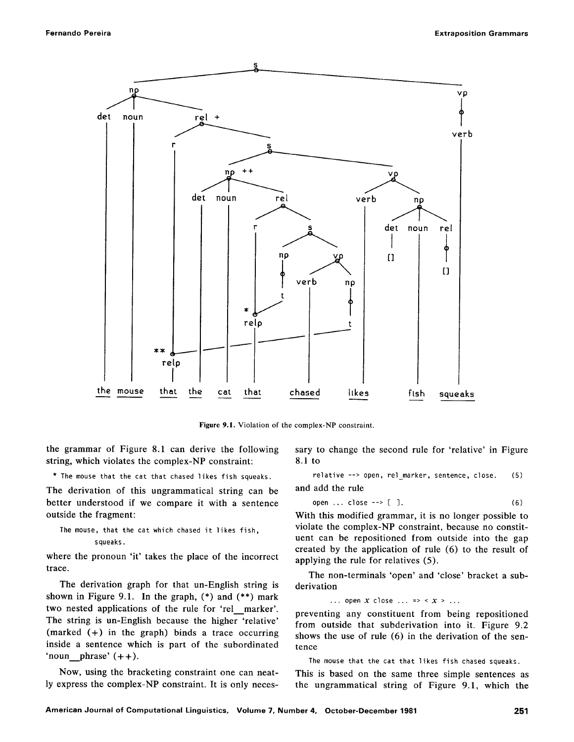

Figure 9.1. Violation of the complex-NP constraint.

the grammar of Figure 8.1 can derive the following string, which violates the complex-NP constraint:

\* The mouse that the cat that chased likes fish squeaks.

The derivation of this ungrammatical string can be better understood if we compare it with a sentence outside the fragment:

```
The mouse, that the cat which chased it likes fish, 
         squeaks.
```
where the pronoun 'it' takes the place of the incorrect trace.

The derivation graph for that un-English string is shown in Figure 9.1. In the graph, (\*) and (\*\*) mark two nested applications of the rule for 'rel marker'. The string is un-English because the higher 'relative' (marked  $(+)$  in the graph) binds a trace occurring inside a sentence which is part of the subordinated 'noun phrase'  $( + +).$ 

Now, using the bracketing constraint one can neatly express the complex-NP constraint. It is only necessary to change the second rule for 'relative' in Figure 8.1 to

relative --> open, rel marker, sentence, close. (5)

and add the rule

open ... close 
$$
\leftarrow
$$
  $\lbrack$  ], (6)

With this modified grammar, it is no longer possible to violate the complex-NP constraint, because no constituent can be repositioned from outside into the gap created by the application of rule (6) to the result of applying the rule for relatives (5).

The non-terminals 'open' and 'close' bracket a subderivation

... open  $X$  close ... => <  $X$  > ...

preventing any constituent from being repositioned from outside that subderivation into it. Figure 9.2 shows the use of rule (6) in the derivation of the sentence

The mouse that the cat that likes fish chased squeaks.

This is based on the same three simple sentences as the ungrammatical string of Figure 9.1, which the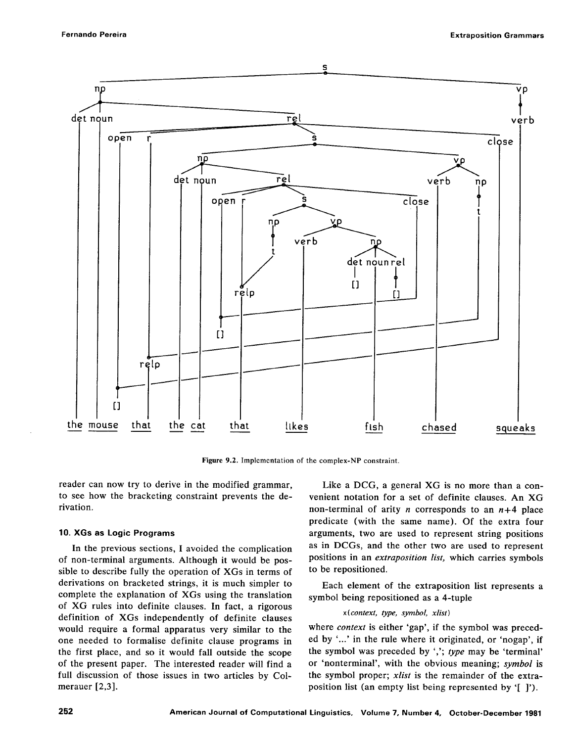

**Figure** 9.2. Implementation of the complex-NP constraint.

reader can now try to derive in the modified grammar, to see how the bracketing constraint prevents the derivation.

## **10. XGs as Logic Programs**

In the previous sections, I avoided the complication of non-terminal arguments. Although it would be possible to describe fully the operation of XGs in terms of derivations on bracketed strings, it is much simpler to complete the explanation of XGs using the translation of XG rules into definite clauses. In fact, a rigorous definition of XGs independently of definite clauses would require a formal apparatus very similar to the one needed to formalise definite clause programs in the first place, and so it would fall outside the scope of the present paper. The interested reader will find a full discussion of those issues in two articles by Colmerauer [2,3].

Like a DCG, a general XG is no more than a convenient notation for a set of definite clauses. An XG non-terminal of arity *n* corresponds to an  $n+4$  place predicate (with the same name). Of the extra four arguments, two are used to represent string positions as in DCGs, and the other two are used to represent positions in an *extraposition list,* which carries symbols to be repositioned.

Each element of the extraposition list represents a symbol being repositioned as a 4-tuple

## *x(context, type, symbol, xlist)*

where *context* is either 'gap', if the symbol was preceded by '...' in the rule where it originated, or 'nogap', if the symbol was preceded by ','; *type* may be 'terminal' or 'nonterminal', with the obvious meaning; *symbol* is the symbol proper; *xlist* is the remainder of the extraposition list (an empty list being represented by '[ ]').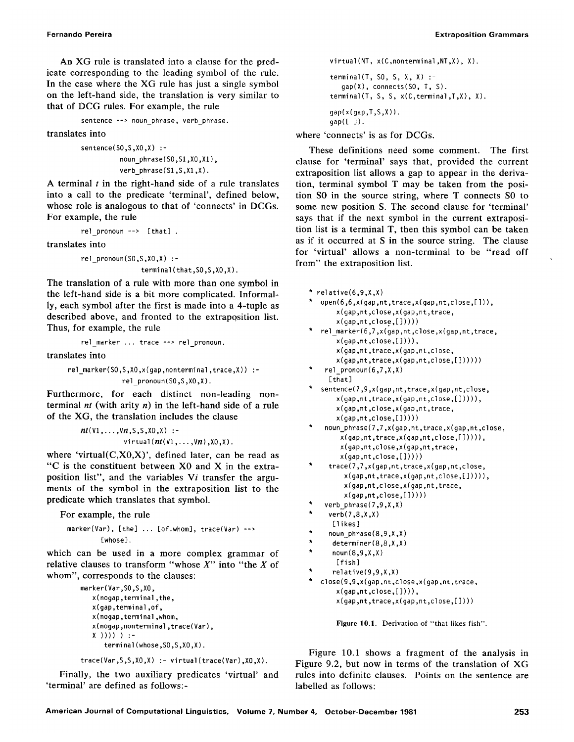An XG rule is translated into a clause for the predicate corresponding to the leading symbol of the rule. In the case where the XG rule has just a single symbol on the left-hand side, the translation is very similar to that of DCG rules. For example, the rule

```
sentence --> noun phrase, verb phrase.
```
translates into

```
sentence(S0,S,X0,X) :- 
         noun phrase(S0,S1,X0,X1),
         verb_phrase(S1,S,X1,X).
```
A terminal  $t$  in the right-hand side of a rule translates into a call to the predicate 'terminal', defined below, whose role is analogous to that of 'connects' in DCGs. For example, the rule

```
rel pronoun --> [that] .
```
translates into

```
re]_pronoun (S0,S,X0,X) :- 
               terminal(that.SO.S.XO.X).
```
The translation of a rule with more than one symbol in the left-hand side is a bit more complicated. Informally, each symbol after the first is made into a 4-tuple as described above, and fronted to the extraposition list. Thus, for example, the rule

```
rel marker ... trace --> rel pronoun.
```
translates into

```
rel marker(SO,S,XO,x(gap,nonterminal,trace,X)) :-
              rel pronoun(S0, S, X0, X).
```
Furthermore, for each distinct non-leading nonterminal *nt* **(with arity n) in the left-hand side of a rule**  of the XG, the translation includes the clause

```
nt(V1, \ldots, Vn, S, S, X0, X) :-
              virtual(nt(V1, \ldots, Vn), X0, X).
```
where 'virtual $(C, X0, X)$ ', defined later, can be read as "C is the constituent between X0 and X in the extraposition list", and the variables Vi transfer the arguments of the symbol in the extraposition list to the predicate which translates that symbol.

For example, the rule

```
marker(Var), [the] ... [of.whom], trace(Var) --> 
         [whose].
```
which can be used in a more complex grammar of relative clauses to transform "whose  $X$ " into "the  $X$  of whom", corresponds to the clauses:

```
marker(Var,SO,S,XO, 
   x ( nogap, terminal, the, 
   x(gap,terminal ,of, 
   x(nogap ,terminal ,whom, 
   x(nogap,nonterminal ,trace(Var), 
   x )))) ) :- 
       terminal (whose, SO, S, XO, X).
```
trace(Var,S,S,XO,X) :- virtual(trace(Var),XO,X).

Finally, the two auxiliary predicates 'virtual' and 'terminal' are defined as follows:-

```
virtual(NT, x(C,nonterminal,NT,X), X). 
terminal(T, S0, S, X, X) :-
  gap(X), connects(SO, T, S). 
terminal(T, S, S, x(C,terminal,T,X), X). 
qap(x(qap,T,S,X)).
qap([ ]).
```
where 'connects' is as for DCGs.

These definitions need some comment. The first clause for 'terminal' says that, provided the current extraposition list allows a gap to appear in the derivation, terminal symbol T may be taken from the position SO in the source string, where T connects SO to some new position S. The second clause for 'terminal' says that if the next symbol in the current extraposition list is a terminal T, then this symbol can be taken as if it occurred at S in the source string. The clause for 'virtual' allows a non-terminal to be "read off from" the extraposition list.

```
* relative(6.9.X.X)
  open(6,6,x(gap,nt,trace,x(gap,nt,close,[])),
       x(gap,nt,close,x(gap,nt,trace, 
       x(qap,nt,close,[])))
 rel marker(6,7,x(qap,nt,close,x(qap,nt,trace,x(gap,nt,close 
,[]))), 
        x(gap,nt,trace 
,x(gap,nt,close, 
       x(gap,nt,trace 
,x(gap,nt,close,[]))))) 
    rel_pronoun(6,7,X 
,X) 
     [that]
   sentence(7,9,x(gap 
,nt,trace,x(gap,nt,close, 
       x(gap,nt,trace 
,x(gap,nt,close,[])))), 
       x(gap,nt,close 
,x(gap,nt,trace, 
       x(gap,nt,close,[]))))
```

```
noun_phrase(7,7,x(gap,nt,trace,x(gap,nt,close,
   x(gap,nt,trace,x(gap,nt,close,[])))), 
    x(gap,nt,close,x(gap,nt,trace, 
   x(gap,nt,close,[]))))
```

```
* trace(7,7,x(gap,nt,trace,x(gap,nt,close, 
   x(gap,nt,trace,x(gap,nt,close,[])))), 
   x(gap,nt,close,x(gap,nt,trace, 
   x(gap,nt,close,[]))))
```

```
verb phrase(7,9,X,X)
```

```
verb(7,8,X,X)
```

```
[likes]
```

```
noun phrase(8,9,X,X)
```

```
determiner(8,8,X,X)
noun(8,9,X,X)
```

```
[fish]
```

```
relative(9,9,X,X)
```

```
close(9,9,x(gap,nt,close,x(gap,nt,trace,
    x(qap,nt,close,[]))),
    x(gap,nt,trace,x(gap,nt,close,[])))
```
**Figure** 10.1. Derivation of "that likes fish".

Figure 10.1 shows a fragment of the analysis in Figure 9.2, but now in terms of the translation of XG rules into definite clauses. Points on the sentence are labelled as follows: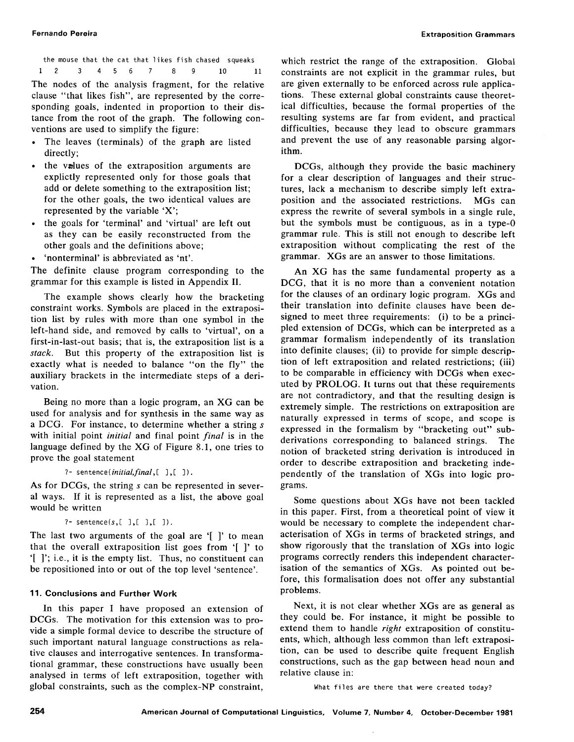the mouse that the cat that likes fish chased squeaks **I 2 3 4 5 6 7 8 9 10 11**  The nodes of the analysis fragment, for the relative clause "that likes fish", are represented by the corresponding goals, indented in proportion to their distance from the root of the graph. The following con-

ventions are used to simplify the figure: The leaves (terminals) of the graph are listed directly;

- the values of the extraposition arguments are explictly represented only for those goals that add or delete something to the extraposition list; for the other goals, the two identical values are represented by the variable 'X';
- the goals for 'terminal' and 'virtual' are left out as they can be easily reconstructed from the other goals and the definitions above;
- 'nonterminal' is abbreviated as 'nt'.

The definite clause program corresponding to the grammar for this example is listed in Appendix II.

The example shows clearly how the bracketing constraint works. Symbols are placed in the extraposition list by rules with more than one symbol in the left-hand side, and removed by calls to 'virtual', on a first-in-last-out basis; that is, the extraposition list is a *stack.* But this property of the extraposition list is exactly what is needed to balance "on the fly" the auxiliary brackets in the intermediate steps of a derivation.

Being no more than a logic program, an XG can be used for analysis and for synthesis in the same way as a DCG. For instance, to determine whether a string s with initial point *initial* and final point *final* is in the language defined by the XG of Figure 8.1, one tries to prove the goal statement

*?-sentence(initial, final,[* 3,[ 3).

As for DCGs, the string s can be represented in several ways. If it is represented as a list, the above goal would be written

?- sentence(s,[  $], [ ]$ ,[  $]$ ).

The last two arguments of the goal are '[ ]' to mean that the overall extraposition list goes from '[ ]' to '[ ]'; i.e., it is the empty list. Thus, no constituent can be repositioned into or out of the top level 'sentence'.

#### **11. Conclusions and Further Work**

In this paper I have proposed an extension of DCGs. The motivation for this extension was to provide a simple formal device to describe the structure of such important natural language constructions as relative clauses and interrogative sentences. In transformational grammar, these constructions have usually been analysed in terms of left extraposition, together with global constraints, such as the complex-NP constraint,

which restrict the range of the extraposition. Global constraints are not explicit in the grammar rules, but are given externally to be enforced across rule applications. These external global constraints cause theoretical difficulties, because the formal properties of the resulting systems are far from evident, and practical difficulties, because they lead to obscure grammars and prevent the use of any reasonable parsing algorithm.

DCGs, although they provide the basic machinery for a clear description of languages and their structures, lack a mechanism to describe simply left extraposition and the associated restrictions. MGs can express the rewrite of several symbols in a single rule, but the symbols must be contiguous, as in a type-0 grammar rule. This is still not enough to describe left extraposition without complicating the rest of the grammar. XGs are an answer to those limitations.

An XG has the same fundamental property as a DCG, that it is no more than a convenient notation for the clauses of an ordinary logic program. XGs and their translation into definite clauses have been designed to meet three requirements: (i) to be a principled extension of DCGs, which can be interpreted as a grammar formalism independently of its translation into definite clauses; (ii) to provide for simple description of left extraposition and related restrictions; (iii) to be comparable in efficiency with DCGS when executed by PROLOG. It turns out that these requirements are not contradictory, and that the resulting design is extremely simple. The restrictions on extraposition are naturally expressed in terms of scope, and scope is expressed in the formalism by "bracketing out" subderivations corresponding to balanced strings. The notion of bracketed string derivation is introduced in order to describe extraposition and bracketing independently of the translation of XGs into logic programs.

Some questions about XGs have not been tackled in this paper. First, from a theoretical point of view it would be necessary to complete the independent characterisation of XGs in terms of bracketed strings, and show rigorously that the translation of XGs into logic programs correctly renders this independent characterisation of the semantics of XGs. As pointed out before, this formalisation does not offer any substantial problems.

Next, it is not clear whether XGs are as general as they could be. For instance, it might be possible to extend them to handle *right* extraposition of constituents, which, although less common than left extraposition, can be used to describe quite frequent English constructions, such as the gap between head noun and relative clause in:

What files are there that were created today?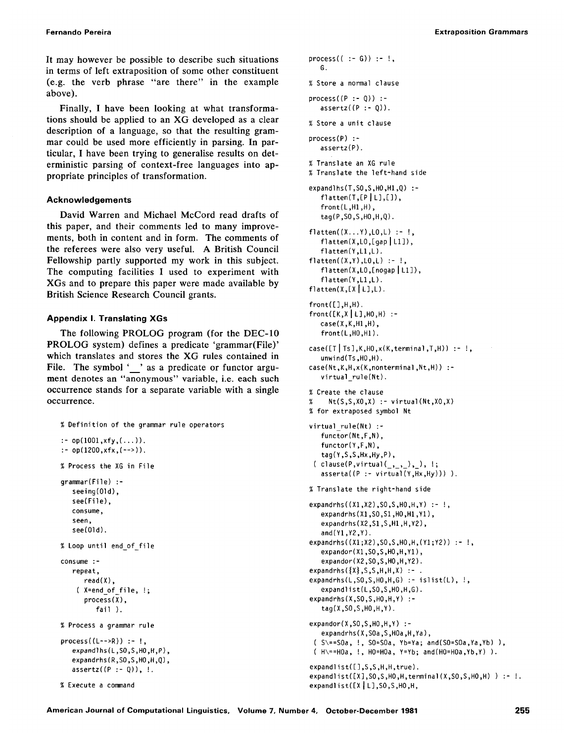**Fernando Pereira Extraposition Grammars** 

It may however be possible to describe such situations in terms of left extraposition of some other constituent (e.g. the verb phrase "are there" in the example above).

Finally, I have been looking at what transformations should be applied to an XG developed as a clear description of a language, so that the resulting grammar could be used more efficiently in parsing. In particular, I have been trying to generalise results on deterministic parsing of context-free languages into appropriate principles of transformation.

## **Acknowledgements**

David Warren and Michael McCord read drafts of this paper, and their comments led to many improvements, both in content and in form. The comments of the referees were also very useful. A British Council Fellowship partly supported my work in this subject. The computing facilities I used to experiment with XGs and to prepare this paper were made available by British Science Research Council grants.

## **Appendix I. Translating XGs**

The following PROLOG program (for the DEC-10 PROLOG system) defines a predicate 'grammar(File)' which translates and stores the XG rules contained in File. The symbol ' ' as a predicate or functor argument denotes an "anonymous" variable, i.e. each such occurrence stands for a separate variable with a single occurrence.

```
% Definition of the grammar rule operators 
: op(1001,xfy,(...)).
: op(1200,xfx,(-->)).
% Process the XG in File 
grammar(File) :- 
   seeing(Old), 
   see(File), 
   consume, 
   seen, 
   see(Old). 
% Loop until end of file 
consume :- 
   repeat, 
      read(X), 
    ( X=end of file, !; 
      process(X), 
         fail ). 
% Process a grammar rule 
process((L-->R)) :- !expandlhs(L,SO,S,HO,H,P), 
   expandrhs(R,SO,S,HO,H,Q), 
   assertz((P - Q)), !.
% Execute a command
```

```
process(( : - G)) :- !,
  G. 
% Store a normal clause 
process((P :- Q)) :- 
   assertz((P - Q)).% Store a unit clause 
process(P) :- 
   assertz(P). 
% Translate an XG rule 
% Translate the left-hand side 
expandlhs(T,SO,S,HO,HI,Q) :- 
   flatten(T, [P|L], [1],front(L,HI,H), 
   tag(P,SO,S,HO,H,Q). 
flatten((X...Y),LO,L) :- !, 
   flatten(X, L0, [gap | L1]),flatten(Y,LI,L). 
flatten((X,Y),L0,L) :- !,
   flatten(X,LO,[nogap ILI]), 
   flatten(Y,LI,L). 
flatten(X,[X|L],L).
front([], H, H).
front([K,X | L],HO,H) :-
   case(X,K,H1,H),
   front(L,HO,H1). 
case([T|Ts], K, H0, x(K, terminal, T, H)):-!,
   unwind(Ts,HO,H). 
case(Nt,K,H,x(K,nonterminal,Nt,H)) :- 
   virtual_rule(Nt). 
% Create the clause 
% Nt(S,S,XO,X) :- virtual(Nt,XO,X)
% for extraposed symbol Nt 
virtual rule(Nt) :- 
   functor(Nt,F,N), 
   functor(Y,F,N),
   tag(Y,S,S,Hx,Hy,P), 
 ( \text{clause}(P,\text{virtual}(\_,\_,\_,\_),\_, ;
   asserta((P - virtual(Y,Hx,Hy))).
% Translate the right-hand side 
expandrhs((XI,X2),SO,S,HO,H,Y) :- !, 
   expandrhs(XI,SO,SI,HO,HI,Y1), 
   expandrhs(X2,SI,S,HI,H,Y2), 
   and(YI,Y2,Y). 
expandrhs((X1;X2),SO,S,HO,H,(Y1;Y2)) :- !, 
   expandor(X1,SO,S,HO,H,Y1), 
   expandor(X2,SO,S,HO,H,Y2). 
expandrhs({X}, S, S, H, H, X):
expandrhs(L,SO,S,HO,H,G) :- islist(L), !, 
   expandlist(L,SO,S,HO,H,G). 
expandrhs(X,SO,S,HO,H,Y) :- 
   tag(X,SO,S,HO,H,Y). 
expandor(X,SO,S,HO,H,Y) :-
   expandrhs(X,SOa,S,HOa,H,Ya), 
 ( S\==SOa, !, SO=SOa, Yb=Ya; and(SO=SOa,Ya,Yb) ), 
 ( H\==HOa, !, HO=HOa, Y=Yb; and(HO=HOa,Yb,Y) ). 
expandlist([],S,S,H,H,true). 
expandlist([X],SO,S,HO,H,terminal(X,SO,S,HO,H) ) :- !. 
expandlist([X|L],SO,S,HO,H,
```